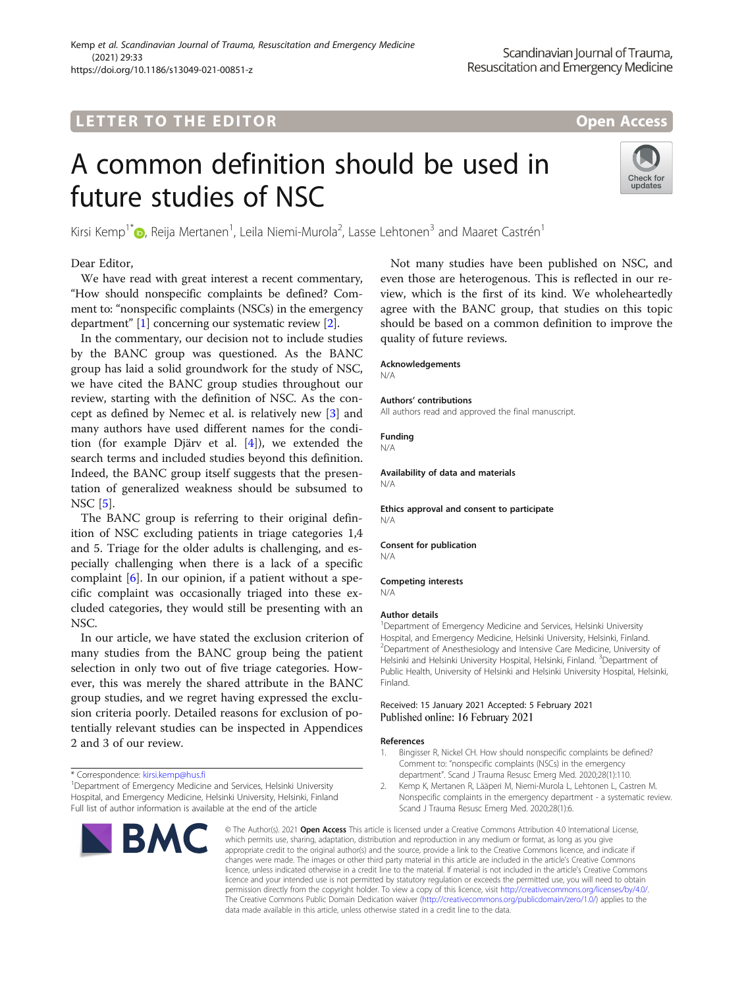## **LETTER TO THE EDITOR CONSIDERING ACCESS**

# A common definition should be used in future studies of NSC



Kirsi Kemp<sup>1[\\*](http://orcid.org/0000-0001-7795-0168)</sup> $\bm{\odot}$ , Reija Mertanen<sup>1</sup>, Leila Niemi-Murola<sup>2</sup>, Lasse Lehtonen<sup>3</sup> and Maaret Castrén<sup>1</sup>

Dear Editor,

We have read with great interest a recent commentary, "How should nonspecific complaints be defined? Comment to: "nonspecific complaints (NSCs) in the emergency department" [1] concerning our systematic review [2].

In the commentary, our decision not to include studies by the BANC group was questioned. As the BANC group has laid a solid groundwork for the study of NSC, we have cited the BANC group studies throughout our review, starting with the definition of NSC. As the concept as defined by Nemec et al. is relatively new [\[3\]](#page-1-0) and many authors have used different names for the condition (for example Djärv et al. [[4](#page-1-0)]), we extended the search terms and included studies beyond this definition. Indeed, the BANC group itself suggests that the presentation of generalized weakness should be subsumed to NSC [[5\]](#page-1-0).

The BANC group is referring to their original definition of NSC excluding patients in triage categories 1,4 and 5. Triage for the older adults is challenging, and especially challenging when there is a lack of a specific complaint  $[6]$ . In our opinion, if a patient without a specific complaint was occasionally triaged into these excluded categories, they would still be presenting with an NSC.

In our article, we have stated the exclusion criterion of many studies from the BANC group being the patient selection in only two out of five triage categories. However, this was merely the shared attribute in the BANC group studies, and we regret having expressed the exclusion criteria poorly. Detailed reasons for exclusion of potentially relevant studies can be inspected in Appendices 2 and 3 of our review.

<sup>&</sup>lt;sup>1</sup> Department of Emergency Medicine and Services, Helsinki University Hospital, and Emergency Medicine, Helsinki University, Helsinki, Finland Full list of author information is available at the end of the article



Not many studies have been published on NSC, and even those are heterogenous. This is reflected in our review, which is the first of its kind. We wholeheartedly agree with the BANC group, that studies on this topic should be based on a common definition to improve the quality of future reviews.

#### Acknowledgements

N/A

#### Authors' contributions

All authors read and approved the final manuscript.

#### Funding

N/A

#### Availability of data and materials N/A

Ethics approval and consent to participate N/A

Consent for publication N/A

#### Competing interests N/A

#### Author details

<sup>1</sup>Department of Emergency Medicine and Services, Helsinki University Hospital, and Emergency Medicine, Helsinki University, Helsinki, Finland. 2 Department of Anesthesiology and Intensive Care Medicine, University of Helsinki and Helsinki University Hospital, Helsinki, Finland. <sup>3</sup>Department of Public Health, University of Helsinki and Helsinki University Hospital, Helsinki, Finland.

#### Received: 15 January 2021 Accepted: 5 February 2021 Published online: 16 February 2021

#### References

- 1. Bingisser R, Nickel CH. How should nonspecific complaints be defined? Comment to: "nonspecific complaints (NSCs) in the emergency department". Scand J Trauma Resusc Emerg Med. 2020;28(1):110.
- 2. Kemp K, Mertanen R, Lääperi M, Niemi-Murola L, Lehtonen L, Castren M. Nonspecific complaints in the emergency department - a systematic review. Scand J Trauma Resusc Emerg Med. 2020;28(1):6.

© The Author(s), 2021 **Open Access** This article is licensed under a Creative Commons Attribution 4.0 International License, which permits use, sharing, adaptation, distribution and reproduction in any medium or format, as long as you give appropriate credit to the original author(s) and the source, provide a link to the Creative Commons licence, and indicate if changes were made. The images or other third party material in this article are included in the article's Creative Commons licence, unless indicated otherwise in a credit line to the material. If material is not included in the article's Creative Commons licence and your intended use is not permitted by statutory regulation or exceeds the permitted use, you will need to obtain permission directly from the copyright holder. To view a copy of this licence, visit [http://creativecommons.org/licenses/by/4.0/.](http://creativecommons.org/licenses/by/4.0/) The Creative Commons Public Domain Dedication waiver [\(http://creativecommons.org/publicdomain/zero/1.0/](http://creativecommons.org/publicdomain/zero/1.0/)) applies to the data made available in this article, unless otherwise stated in a credit line to the data.

<sup>\*</sup> Correspondence: [kirsi.kemp@hus.fi](mailto:kirsi.kemp@hus.fi) <sup>1</sup>